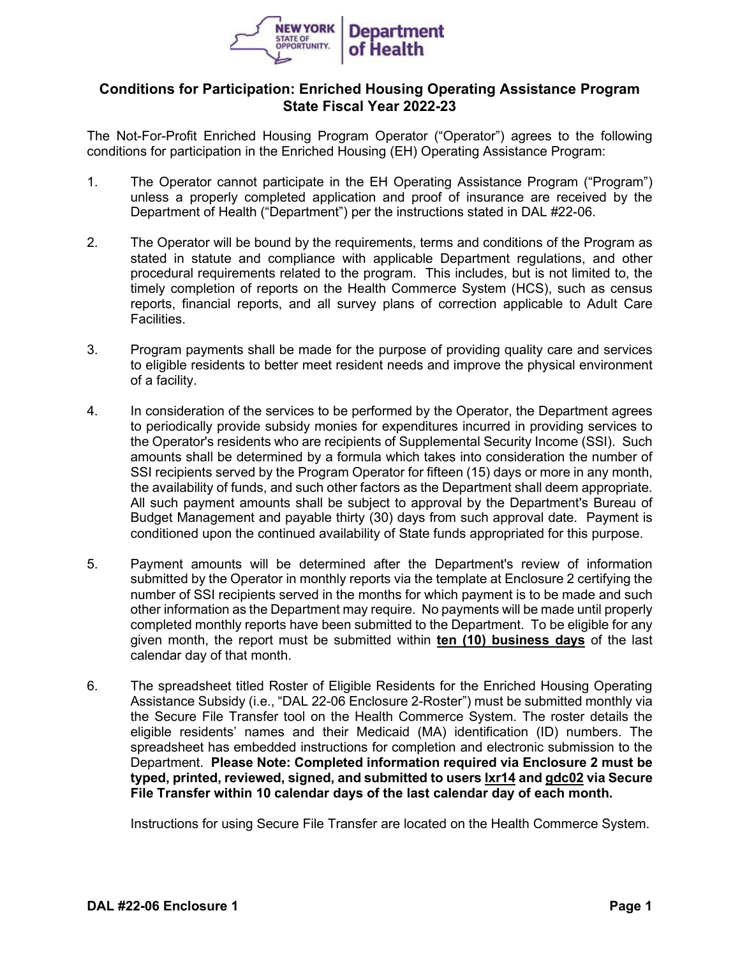

## **Conditions for Participation: Enriched Housing Operating Assistance Program State Fiscal Year 2022-23**

The Not-For-Profit Enriched Housing Program Operator ("Operator") agrees to the following conditions for participation in the Enriched Housing (EH) Operating Assistance Program:

- 1. The Operator cannot participate in the EH Operating Assistance Program ("Program") unless a properly completed application and proof of insurance are received by the Department of Health ("Department") per the instructions stated in DAL #22-06.
- 2. The Operator will be bound by the requirements, terms and conditions of the Program as stated in statute and compliance with applicable Department regulations, and other procedural requirements related to the program. This includes, but is not limited to, the timely completion of reports on the Health Commerce System (HCS), such as census reports, financial reports, and all survey plans of correction applicable to Adult Care Facilities.
- 3. Program payments shall be made for the purpose of providing quality care and services to eligible residents to better meet resident needs and improve the physical environment of a facility.
- 4. In consideration of the services to be performed by the Operator, the Department agrees to periodically provide subsidy monies for expenditures incurred in providing services to the Operator's residents who are recipients of Supplemental Security Income (SSI). Such amounts shall be determined by a formula which takes into consideration the number of SSI recipients served by the Program Operator for fifteen (15) days or more in any month, the availability of funds, and such other factors as the Department shall deem appropriate. All such payment amounts shall be subject to approval by the Department's Bureau of Budget Management and payable thirty (30) days from such approval date. Payment is conditioned upon the continued availability of State funds appropriated for this purpose.
- 5. Payment amounts will be determined after the Department's review of information submitted by the Operator in monthly reports via the template at Enclosure 2 certifying the number of SSI recipients served in the months for which payment is to be made and such other information as the Department may require. No payments will be made until properly completed monthly reports have been submitted to the Department. To be eligible for any given month, the report must be submitted within **ten (10) business days** of the last calendar day of that month.
- 6. The spreadsheet titled Roster of Eligible Residents for the Enriched Housing Operating Assistance Subsidy (i.e., "DAL 22-06 Enclosure 2-Roster") must be submitted monthly via the Secure File Transfer tool on the Health Commerce System. The roster details the eligible residents' names and their Medicaid (MA) identification (ID) numbers. The spreadsheet has embedded instructions for completion and electronic submission to the Department. **Please Note: Completed information required via Enclosure 2 must be typed, printed, reviewed, signed, and submitted to users lxr14 and gdc02 via Secure File Transfer within 10 calendar days of the last calendar day of each month.**

Instructions for using Secure File Transfer are located on the Health Commerce System.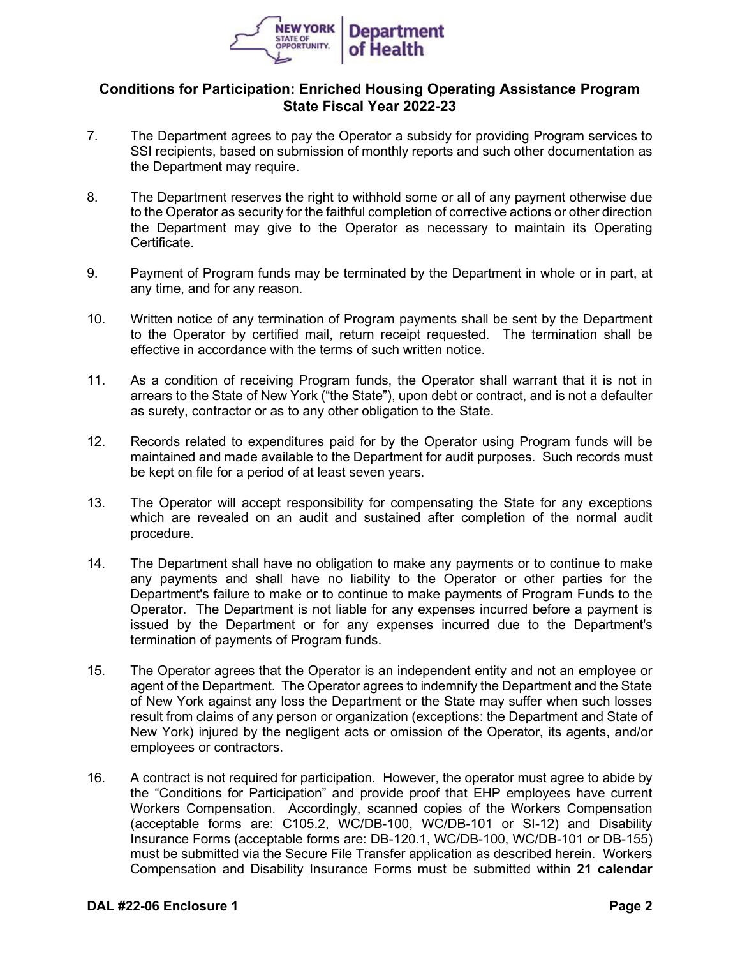

## **Conditions for Participation: Enriched Housing Operating Assistance Program State Fiscal Year 2022-23**

- 7. The Department agrees to pay the Operator a subsidy for providing Program services to SSI recipients, based on submission of monthly reports and such other documentation as the Department may require.
- 8. The Department reserves the right to withhold some or all of any payment otherwise due to the Operator as security for the faithful completion of corrective actions or other direction the Department may give to the Operator as necessary to maintain its Operating Certificate.
- 9. Payment of Program funds may be terminated by the Department in whole or in part, at any time, and for any reason.
- 10. Written notice of any termination of Program payments shall be sent by the Department to the Operator by certified mail, return receipt requested. The termination shall be effective in accordance with the terms of such written notice.
- 11. As a condition of receiving Program funds, the Operator shall warrant that it is not in arrears to the State of New York ("the State"), upon debt or contract, and is not a defaulter as surety, contractor or as to any other obligation to the State.
- 12. Records related to expenditures paid for by the Operator using Program funds will be maintained and made available to the Department for audit purposes. Such records must be kept on file for a period of at least seven years.
- 13. The Operator will accept responsibility for compensating the State for any exceptions which are revealed on an audit and sustained after completion of the normal audit procedure.
- 14. The Department shall have no obligation to make any payments or to continue to make any payments and shall have no liability to the Operator or other parties for the Department's failure to make or to continue to make payments of Program Funds to the Operator. The Department is not liable for any expenses incurred before a payment is issued by the Department or for any expenses incurred due to the Department's termination of payments of Program funds.
- 15. The Operator agrees that the Operator is an independent entity and not an employee or agent of the Department. The Operator agrees to indemnify the Department and the State of New York against any loss the Department or the State may suffer when such losses result from claims of any person or organization (exceptions: the Department and State of New York) injured by the negligent acts or omission of the Operator, its agents, and/or employees or contractors.
- 16. A contract is not required for participation. However, the operator must agree to abide by the "Conditions for Participation" and provide proof that EHP employees have current Workers Compensation. Accordingly, scanned copies of the Workers Compensation (acceptable forms are: C105.2, WC/DB-100, WC/DB-101 or SI-12) and Disability Insurance Forms (acceptable forms are: DB-120.1, WC/DB-100, WC/DB-101 or DB-155) must be submitted via the Secure File Transfer application as described herein. Workers Compensation and Disability Insurance Forms must be submitted within **21 calendar**